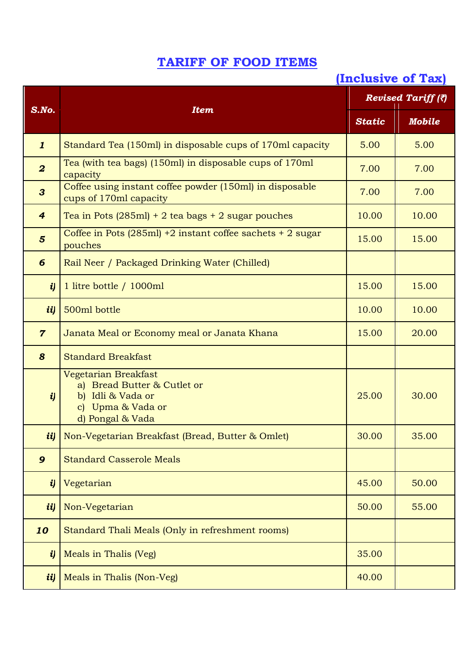## **TARIFF OF FOOD ITEMS**

## **(Inclusive of Tax)**

|                  | <b>Item</b>                                                                                                                                 | Revised Tariff (?) |               |  |
|------------------|---------------------------------------------------------------------------------------------------------------------------------------------|--------------------|---------------|--|
| $S$ .No.         |                                                                                                                                             | <b>Static</b>      | <b>Mobile</b> |  |
| $\mathbf{1}$     | Standard Tea (150ml) in disposable cups of 170ml capacity                                                                                   | 5.00               | 5.00          |  |
| $\boldsymbol{2}$ | Tea (with tea bags) (150ml) in disposable cups of 170ml<br>capacity                                                                         | 7.00               | 7.00          |  |
| $\mathbf{3}$     | Coffee using instant coffee powder (150ml) in disposable<br>cups of 170ml capacity                                                          | 7.00               | 7.00          |  |
| $\overline{4}$   | Tea in Pots $(285ml) + 2$ tea bags $+ 2$ sugar pouches                                                                                      | 10.00              | 10.00         |  |
| $5\overline{5}$  | Coffee in Pots $(285ml)$ +2 instant coffee sachets + 2 sugar<br>pouches                                                                     |                    | 15.00         |  |
| 6                | Rail Neer / Packaged Drinking Water (Chilled)                                                                                               |                    |               |  |
| $\boldsymbol{i}$ | 1 litre bottle / 1000ml                                                                                                                     | 15.00              | 15.00         |  |
| ii)              | 500ml bottle                                                                                                                                | 10.00              | 10.00         |  |
| $\overline{7}$   | Janata Meal or Economy meal or Janata Khana                                                                                                 | 15.00              | 20.00         |  |
| 8                | <b>Standard Breakfast</b>                                                                                                                   |                    |               |  |
| $\boldsymbol{i}$ | Vegetarian Breakfast<br>a) Bread Butter & Cutlet or<br>Idli & Vada or<br>$\mathbf{b}$<br>Upma & Vada or<br>$\mathbf{c}$<br>d) Pongal & Vada | 25.00              | 30.00         |  |
| ii)              | Non-Vegetarian Breakfast (Bread, Butter & Omlet)                                                                                            | 30.00              | 35.00         |  |
| $\boldsymbol{9}$ | <b>Standard Casserole Meals</b>                                                                                                             |                    |               |  |
| $\boldsymbol{i}$ | Vegetarian                                                                                                                                  | 45.00              | 50.00         |  |
| ii)              | Non-Vegetarian                                                                                                                              | 50.00              | 55.00         |  |
| 10               | Standard Thali Meals (Only in refreshment rooms)                                                                                            |                    |               |  |
| $\boldsymbol{i}$ | Meals in Thalis (Veg)                                                                                                                       | 35.00              |               |  |
| ii)              | Meals in Thalis (Non-Veg)                                                                                                                   | 40.00              |               |  |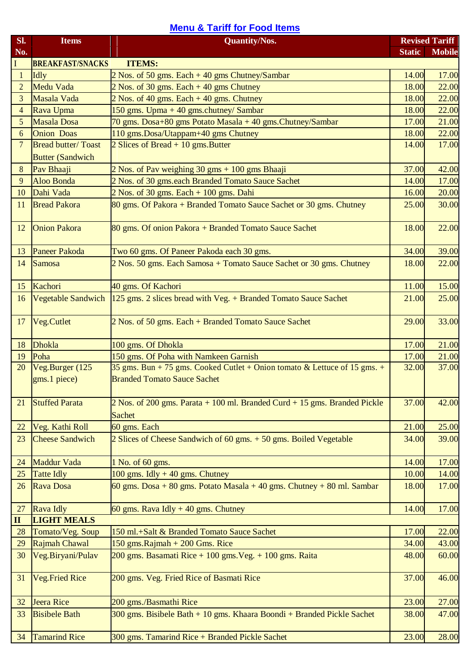## **Menu & Tariff for Food Items**

| Sl.            | <b>Items</b>                                          | <b>Quantity/Nos.</b>                                                                                            |               | <b>Revised Tariff</b> |
|----------------|-------------------------------------------------------|-----------------------------------------------------------------------------------------------------------------|---------------|-----------------------|
| No.            |                                                       |                                                                                                                 | <b>Static</b> | <b>Mobile</b>         |
| I              | <b>BREAKFAST/SNACKS</b>                               | <b>ITEMS:</b>                                                                                                   |               |                       |
| $\mathbf{1}$   | Idly                                                  | 2 Nos. of 50 gms. Each + 40 gms Chutney/Sambar                                                                  | 14.00         | 17.00                 |
| $\overline{2}$ | <b>Medu Vada</b>                                      | $2$ Nos. of 30 gms. Each $+40$ gms Chutney                                                                      | 18.00         | 22.00                 |
| 3              | Masala Vada                                           | $2$ Nos. of 40 gms. Each $+$ 40 gms. Chutney                                                                    | 18.00         | 22.00                 |
| 4              | Rava Upma                                             | 150 gms. Upma + 40 gms.chutney/ Sambar                                                                          | 18.00         | 22.00                 |
| 5              | <b>Masala Dosa</b>                                    | 70 gms. Dosa+80 gms Potato Masala + 40 gms. Chutney/Sambar                                                      | 17.00         | 21.00                 |
| 6              | <b>Onion Doas</b>                                     | 110 gms.Dosa/Utappam+40 gms Chutney                                                                             | 18.00         | 22.00                 |
| 7              | <b>Bread butter/ Toast</b><br><b>Butter (Sandwich</b> | $2$ Slices of Bread + 10 gms. Butter                                                                            | 14.00         | 17.00                 |
| 8              | Pav Bhaaji                                            | 2 Nos. of Pav weighing 30 gms + 100 gms Bhaaji                                                                  | 37.00         | 42.00                 |
| 9              | <b>Aloo Bonda</b>                                     | 2 Nos. of 30 gms.each Branded Tomato Sauce Sachet                                                               | 14.00         | 17.00                 |
| 10             | Dahi Vada                                             | $2$ Nos. of 30 gms. Each $+$ 100 gms. Dahi                                                                      | 16.00         | 20.00                 |
| 11             | <b>Bread Pakora</b>                                   | 80 gms. Of Pakora + Branded Tomato Sauce Sachet or 30 gms. Chutney                                              | 25.00         | 30.00                 |
|                |                                                       |                                                                                                                 |               |                       |
| 12             | <b>Onion Pakora</b>                                   | 80 gms. Of onion Pakora + Branded Tomato Sauce Sachet                                                           | 18.00         | 22.00                 |
| 13             | <b>Paneer Pakoda</b>                                  | Two 60 gms. Of Paneer Pakoda each 30 gms.                                                                       | 34.00         | 39.00                 |
| 14             | Samosa                                                | 2 Nos. 50 gms. Each Samosa + Tomato Sauce Sachet or 30 gms. Chutney                                             | 18.00         | 22.00                 |
| 15             | Kachori                                               | 40 gms. Of Kachori                                                                                              | 11.00         | 15.00                 |
| 16             | <b>Vegetable Sandwich</b>                             | $125$ gms. 2 slices bread with Veg. $+$ Branded Tomato Sauce Sachet                                             | 21.00         | 25.00                 |
| 17             | Veg.Cutlet                                            | 2 Nos. of 50 gms. Each + Branded Tomato Sauce Sachet                                                            | 29.00         | 33.00                 |
| 18             | Dhokla                                                | 100 gms. Of Dhokla                                                                                              | 17.00         | 21.00                 |
| 19             | Poha                                                  | 150 gms. Of Poha with Namkeen Garnish                                                                           | 17.00         | 21.00                 |
| 20             | Veg.Burger (125<br>gms.1 piece)                       | 35 gms. Bun + 75 gms. Cooked Cutlet + Onion tomato & Lettuce of 15 gms. +<br><b>Branded Tomato Sauce Sachet</b> | 32.00         | 37.00                 |
| 21             | <b>Stuffed Parata</b>                                 | $2$ Nos. of 200 gms. Parata $+100$ ml. Branded Curd $+15$ gms. Branded Pickle<br><b>Sachet</b>                  | 37.00         | 42.00                 |
| 22             | Veg. Kathi Roll                                       | 60 gms. Each                                                                                                    | 21.00         | 25.00                 |
| 23             | <b>Cheese Sandwich</b>                                | 2 Slices of Cheese Sandwich of 60 gms. + 50 gms. Boiled Vegetable                                               | 34.00         | 39.00                 |
| 24             | <b>Maddur Vada</b>                                    | 1 No. of 60 gms.                                                                                                | 14.00         | 17.00                 |
| 25             | <b>Tatte Idly</b>                                     | 100 gms. Idly $+40$ gms. Chutney                                                                                | 10.00         | 14.00                 |
| 26             | Rava Dosa                                             | 60 gms. Dosa + 80 gms. Potato Masala + 40 gms. Chutney + 80 ml. Sambar                                          | 18.00         | 17.00                 |
| 27             | <b>Rava Idly</b>                                      | 60 gms. Rava Idly $+$ 40 gms. Chutney                                                                           | 14.00         | 17.00                 |
| $\mathbf{I}$   | <b>LIGHT MEALS</b>                                    |                                                                                                                 |               |                       |
| 28             | Tomato/Veg. Soup                                      | 150 ml.+Salt & Branded Tomato Sauce Sachet                                                                      | 17.00         | 22.00                 |
| 29             | Rajmah Chawal                                         | 150 gms. Rajmah + 200 Gms. Rice                                                                                 | 34.00         | 43.00                 |
| 30             | Veg.Biryani/Pulav                                     | 200 gms. Basamati Rice + 100 gms. Veg. + 100 gms. Raita                                                         | 48.00         | 60.00                 |
| 31             | <b>Veg.Fried Rice</b>                                 | 200 gms. Veg. Fried Rice of Basmati Rice                                                                        | 37.00         | 46.00                 |
| 32             | Jeera Rice                                            | 200 gms./Basmathi Rice                                                                                          | 23.00         | 27.00                 |
| 33             | <b>Bisibele Bath</b>                                  | 300 gms. Bisibele Bath + 10 gms. Khaara Boondi + Branded Pickle Sachet                                          | 38.00         | 47.00                 |
|                |                                                       |                                                                                                                 |               |                       |
| 34             | <b>Tamarind Rice</b>                                  | 300 gms. Tamarind Rice + Branded Pickle Sachet                                                                  | 23.00         | 28.00                 |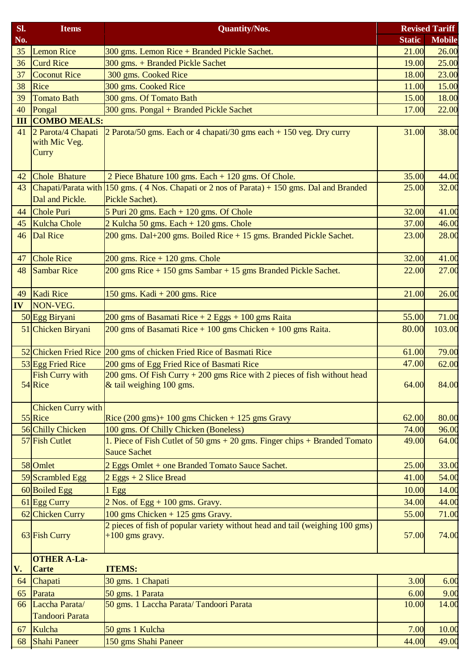| SI. | <b>Items</b>                                 | <b>Quantity/Nos.</b>                                                                                             |               | <b>Revised Tariff</b> |
|-----|----------------------------------------------|------------------------------------------------------------------------------------------------------------------|---------------|-----------------------|
| No. |                                              |                                                                                                                  | <b>Static</b> | <b>Mobile</b>         |
| 35  | <b>Lemon Rice</b>                            | 300 gms. Lemon Rice + Branded Pickle Sachet.                                                                     | 21.00         | 26.00                 |
| 36  | <b>Curd Rice</b>                             | 300 gms. + Branded Pickle Sachet                                                                                 | 19.00         | 25.00                 |
| 37  | <b>Coconut Rice</b>                          | 300 gms. Cooked Rice                                                                                             | 18.00         | 23.00                 |
| 38  | Rice                                         | 300 gms. Cooked Rice                                                                                             | 11.00         | 15.00                 |
| 39  | <b>Tomato Bath</b>                           | 300 gms. Of Tomato Bath                                                                                          | 15.00         | 18.00                 |
| 40  | Pongal                                       | 300 gms. Pongal + Branded Pickle Sachet                                                                          | 17.00         | 22.00                 |
| III | <b>COMBO MEALS:</b>                          |                                                                                                                  |               |                       |
| 41  | 2 Parota/4 Chapati<br>with Mic Veg.<br>Curry | 2 Parota/50 gms. Each or 4 chapati/30 gms each $+$ 150 veg. Dry curry                                            | 31.00         | 38.00                 |
| 42  | Chole Bhature                                | 2 Piece Bhature 100 gms. Each + 120 gms. Of Chole.                                                               | 35.00         | 44.00                 |
| 43  | Dal and Pickle.                              | Chapati/Parata with $150$ gms. (4 Nos. Chapati or 2 nos of Parata) + 150 gms. Dal and Branded<br>Pickle Sachet). | 25.00         | 32.00                 |
| 44  | Chole Puri                                   | 5 Puri 20 gms. Each $+$ 120 gms. Of Chole                                                                        | 32.00         | 41.00                 |
| 45  | Kulcha Chole                                 | 2 Kulcha 50 gms. Each + 120 gms. Chole                                                                           | 37.00         | 46.00                 |
| 46  | Dal Rice                                     | 200 gms. Dal+200 gms. Boiled Rice + 15 gms. Branded Pickle Sachet.                                               | 23.00         | 28.00                 |
| 47  | <b>Chole Rice</b>                            | $200$ gms. Rice + 120 gms. Chole                                                                                 | 32.00         | 41.00                 |
| 48  | <b>Sambar Rice</b>                           | 200 gms Rice + 150 gms Sambar + 15 gms Branded Pickle Sachet.                                                    | 22.00         | 27.00                 |
| 49  | Kadi Rice                                    | 150 gms. Kadi $+200$ gms. Rice                                                                                   | 21.00         | 26.00                 |
| IV  | NON-VEG.                                     |                                                                                                                  |               |                       |
|     | 50 Egg Biryani                               | 200 gms of Basamati Rice $+ 2$ Eggs $+ 100$ gms Raita                                                            | 55.00         | 71.00                 |
|     | 51 Chicken Biryani                           | 200 gms of Basamati Rice $+100$ gms Chicken $+100$ gms Raita.                                                    | 80.00         | 103.00                |
|     |                                              | 52 Chicken Fried Rice 200 gms of chicken Fried Rice of Basmati Rice                                              | 61.00         | 79.00                 |
|     | 53 Egg Fried Rice                            | 200 gms of Egg Fried Rice of Basmati Rice                                                                        | 47.00         | 62.00                 |
|     | <b>Fish Curry with</b><br>54 Rice            | $200$ gms. Of Fish Curry $+200$ gms Rice with 2 pieces of fish without head<br>& tail weighing 100 gms.          | 64.00         | 84.00                 |
|     | <b>Chicken Curry with</b><br>55 Rice         | Rice $(200 \text{ gms})$ + 100 gms Chicken + 125 gms Gravy                                                       | 62.00         | 80.00                 |
|     | 56 Chilly Chicken                            | 100 gms. Of Chilly Chicken (Boneless)                                                                            | 74.00         | 96.00                 |
|     | 57 Fish Cutlet                               | 1. Piece of Fish Cutlet of 50 gms + 20 gms. Finger chips + Branded Tomato<br><b>Sauce Sachet</b>                 | 49.00         | 64.00                 |
|     | 58 Omlet                                     | 2 Eggs Omlet + one Branded Tomato Sauce Sachet.                                                                  | 25.00         | 33.00                 |
|     | 59 Scrambled Egg                             | $2$ Eggs + 2 Slice Bread                                                                                         | 41.00         | 54.00                 |
|     | 60 Boiled Egg                                | 1 Egg                                                                                                            | 10.00         | 14.00                 |
|     | 61 Egg Curry                                 | $2$ Nos. of Egg + 100 gms. Gravy.                                                                                | 34.00         | 44.00                 |
|     | 62 Chicken Curry                             | 100 gms Chicken + 125 gms Gravy.                                                                                 | 55.00         | 71.00                 |
|     | 63 Fish Curry                                | 2 pieces of fish of popular variety without head and tail (weighing 100 gms)<br>$+100$ gms gravy.                | 57.00         | 74.00                 |
| V.  | <b>OTHER A-La-</b><br><b>Carte</b>           | <b>ITEMS:</b>                                                                                                    |               |                       |
| 64  | Chapati                                      | 30 gms. 1 Chapati                                                                                                | 3.00          | 6.00                  |
| 65  | Parata                                       | 50 gms. 1 Parata                                                                                                 | 6.00          | 9.00                  |
| 66  | Laccha Parata/<br><b>Tandoori Parata</b>     | 50 gms. 1 Laccha Parata/Tandoori Parata                                                                          | 10.00         | 14.00                 |
| 67  | Kulcha                                       | 50 gms 1 Kulcha                                                                                                  | 7.00          | 10.00                 |
| 68  | <b>Shahi Paneer</b>                          | 150 gms Shahi Paneer                                                                                             | 44.00         | 49.00                 |